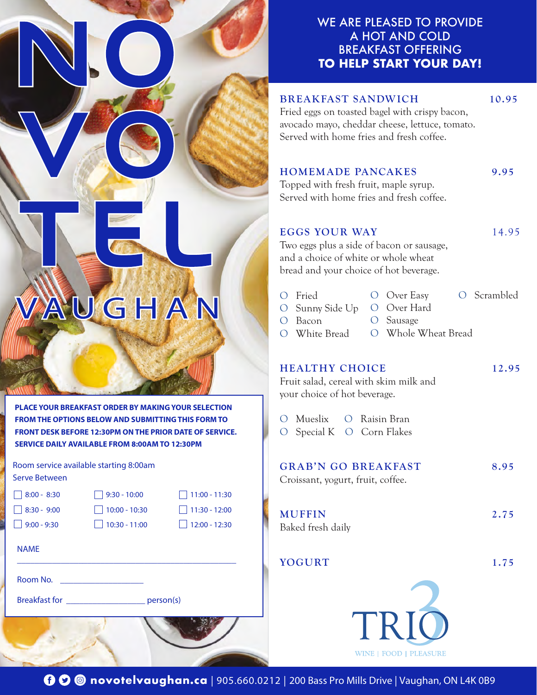## WE ARE PLEASED TO PROVIDE A HOT AND COLD BREAKFAST OFFERING **TO HELP START YOUR DAY!**

#### BREAKFAST SANDWICH 10.95

Fried eggs on toasted bagel with crispy bacon, avocado mayo, cheddar cheese, lettuce, tomato. Served with home fries and fresh coffee.

#### HOMEMADE PANCAKES 9.95

Topped with fresh fruit, maple syrup. Served with home fries and fresh coffee.

# EGGS YOUR WAY 14.95

Two eggs plus a side of bacon or sausage, and a choice of white or whole wheat bread and your choice of hot beverage.

| O Fried   |  |                                                           | O Scrambled                       |
|-----------|--|-----------------------------------------------------------|-----------------------------------|
|           |  |                                                           |                                   |
| $O$ Bacon |  |                                                           |                                   |
|           |  |                                                           |                                   |
|           |  | $O$ Over Easy<br>O Sunny Side Up O Over Hard<br>O Sausage | O White Bread O Whole Wheat Bread |

#### HEALTHY CHOICE 12.95

Fruit salad, cereal with skim milk and your choice of hot beverage.

|  | O Mueslix O Raisin Bran   |
|--|---------------------------|
|  | O Special K O Corn Flakes |

| <b>GRAB'N GO BREAKFAST</b><br>Croissant, yogurt, fruit, coffee. | 8.95 |
|-----------------------------------------------------------------|------|
| <b>MUFFIN</b><br>Baked fresh daily                              | 2.75 |
| YOGURT                                                          | 1.75 |



**FROM THE OPTIONS BELOW AND SUBMITTING THIS FORM TO FRONT DESK BEFORE 12:30PM ON THE PRIOR DATE OF SERVICE. SERVICE DAILY AVAILABLE FROM 8:00AM TO 12:30PM**

**PLACE YOUR BREAKFAST ORDER BY MAKING YOUR SELECTION** 

VAUGHAN

Room service available starting 8:00am Serve Between

| $\sqrt{8:00 - 8:30}$ | $\vert$ 9:30 - 10:00 | $\Box$ 11:00 - 11:30 |
|----------------------|----------------------|----------------------|
| $\Box$ 8:30 - 9:00   | $\Box$ 10:00 - 10:30 | $\Box$ 11:30 - 12:00 |
| $\vert$ 9:00 - 9:30  | $10:30 - 11:00$      | $\Box$ 12:00 - 12:30 |
|                      |                      |                      |

NAME

Room No. \_\_\_\_\_\_\_\_\_\_\_\_\_\_\_\_\_\_\_

Breakfast for \_\_\_\_\_\_\_\_\_\_\_\_\_\_\_\_\_\_ person(s)

\_\_\_\_\_\_\_\_\_\_\_\_\_\_\_\_\_\_\_\_\_\_\_\_\_\_\_\_\_\_\_\_\_\_\_\_\_\_\_\_\_\_\_\_\_\_\_\_\_\_

**00** novotelvaughan.ca | 905.660.0212 | 200 Bass Pro Mills Drive | Vaughan, ON L4K 0B9